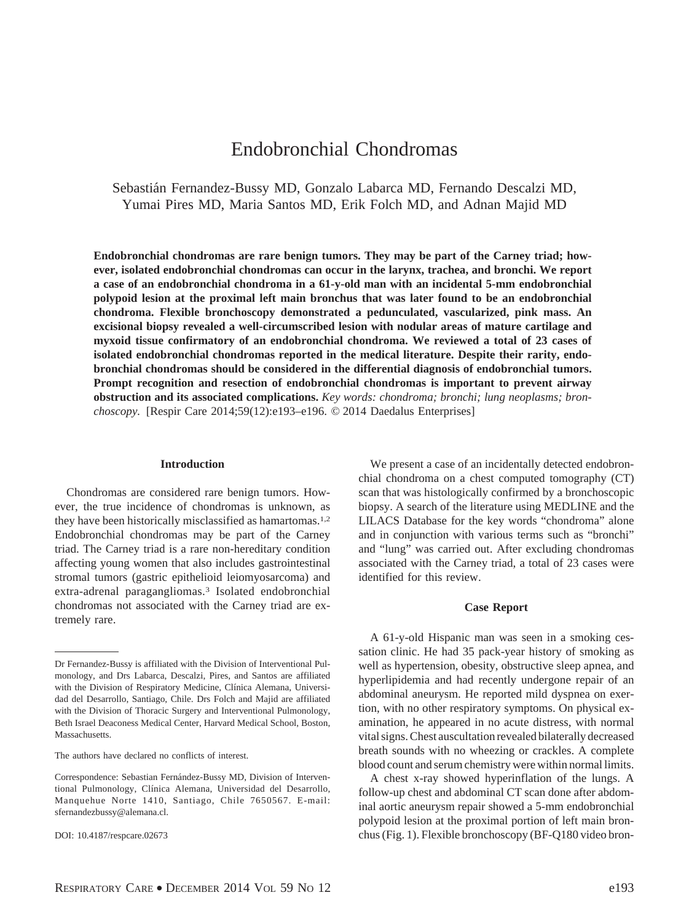# Endobronchial Chondromas

Sebastia´n Fernandez-Bussy MD, Gonzalo Labarca MD, Fernando Descalzi MD, Yumai Pires MD, Maria Santos MD, Erik Folch MD, and Adnan Majid MD

**Endobronchial chondromas are rare benign tumors. They may be part of the Carney triad; however, isolated endobronchial chondromas can occur in the larynx, trachea, and bronchi. We report a case of an endobronchial chondroma in a 61-y-old man with an incidental 5-mm endobronchial polypoid lesion at the proximal left main bronchus that was later found to be an endobronchial chondroma. Flexible bronchoscopy demonstrated a pedunculated, vascularized, pink mass. An excisional biopsy revealed a well-circumscribed lesion with nodular areas of mature cartilage and myxoid tissue confirmatory of an endobronchial chondroma. We reviewed a total of 23 cases of isolated endobronchial chondromas reported in the medical literature. Despite their rarity, endobronchial chondromas should be considered in the differential diagnosis of endobronchial tumors. Prompt recognition and resection of endobronchial chondromas is important to prevent airway obstruction and its associated complications.** *Key words: chondroma; bronchi; lung neoplasms; bronchoscopy.* [Respir Care 2014;59(12):e193–e196. © 2014 Daedalus Enterprises]

# **Introduction**

Chondromas are considered rare benign tumors. However, the true incidence of chondromas is unknown, as they have been historically misclassified as hamartomas.1,2 Endobronchial chondromas may be part of the Carney triad. The Carney triad is a rare non-hereditary condition affecting young women that also includes gastrointestinal stromal tumors (gastric epithelioid leiomyosarcoma) and extra-adrenal paragangliomas.3 Isolated endobronchial chondromas not associated with the Carney triad are extremely rare.

The authors have declared no conflicts of interest.

We present a case of an incidentally detected endobronchial chondroma on a chest computed tomography (CT) scan that was histologically confirmed by a bronchoscopic biopsy. A search of the literature using MEDLINE and the LILACS Database for the key words "chondroma" alone and in conjunction with various terms such as "bronchi" and "lung" was carried out. After excluding chondromas associated with the Carney triad, a total of 23 cases were identified for this review.

### **Case Report**

A 61-y-old Hispanic man was seen in a smoking cessation clinic. He had 35 pack-year history of smoking as well as hypertension, obesity, obstructive sleep apnea, and hyperlipidemia and had recently undergone repair of an abdominal aneurysm. He reported mild dyspnea on exertion, with no other respiratory symptoms. On physical examination, he appeared in no acute distress, with normal vital signs. Chest auscultation revealed bilaterally decreased breath sounds with no wheezing or crackles. A complete blood count and serum chemistry were within normal limits.

A chest x-ray showed hyperinflation of the lungs. A follow-up chest and abdominal CT scan done after abdominal aortic aneurysm repair showed a 5-mm endobronchial polypoid lesion at the proximal portion of left main bronchus (Fig. 1). Flexible bronchoscopy (BF-Q180 video bron-

Dr Fernandez-Bussy is affiliated with the Division of Interventional Pulmonology, and Drs Labarca, Descalzi, Pires, and Santos are affiliated with the Division of Respiratory Medicine, Clínica Alemana, Universidad del Desarrollo, Santiago, Chile. Drs Folch and Majid are affiliated with the Division of Thoracic Surgery and Interventional Pulmonology, Beth Israel Deaconess Medical Center, Harvard Medical School, Boston, Massachusetts.

Correspondence: Sebastian Fernández-Bussy MD, Division of Interventional Pulmonology, Clínica Alemana, Universidad del Desarrollo, Manquehue Norte 1410, Santiago, Chile 7650567. E-mail: sfernandezbussy@alemana.cl.

DOI: 10.4187/respcare.02673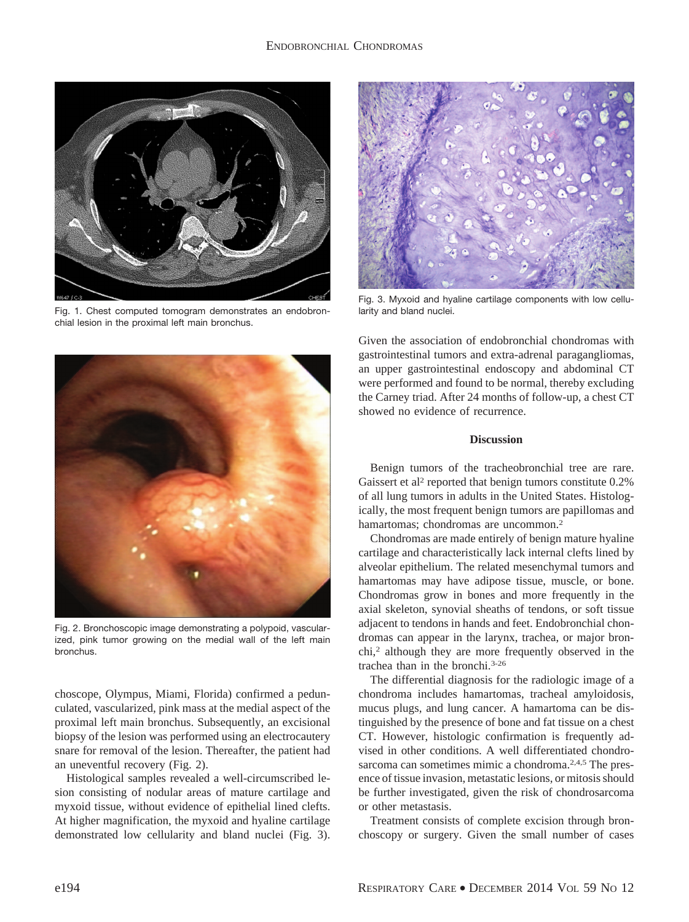

Fig. 1. Chest computed tomogram demonstrates an endobronchial lesion in the proximal left main bronchus.



Fig. 3. Myxoid and hyaline cartilage components with low cellularity and bland nuclei.



Fig. 2. Bronchoscopic image demonstrating a polypoid, vascularized, pink tumor growing on the medial wall of the left main bronchus.

choscope, Olympus, Miami, Florida) confirmed a pedunculated, vascularized, pink mass at the medial aspect of the proximal left main bronchus. Subsequently, an excisional biopsy of the lesion was performed using an electrocautery snare for removal of the lesion. Thereafter, the patient had an uneventful recovery (Fig. 2).

Histological samples revealed a well-circumscribed lesion consisting of nodular areas of mature cartilage and myxoid tissue, without evidence of epithelial lined clefts. At higher magnification, the myxoid and hyaline cartilage demonstrated low cellularity and bland nuclei (Fig. 3).

Given the association of endobronchial chondromas with gastrointestinal tumors and extra-adrenal paragangliomas, an upper gastrointestinal endoscopy and abdominal CT were performed and found to be normal, thereby excluding the Carney triad. After 24 months of follow-up, a chest CT showed no evidence of recurrence.

# **Discussion**

Benign tumors of the tracheobronchial tree are rare. Gaissert et al<sup>2</sup> reported that benign tumors constitute 0.2% of all lung tumors in adults in the United States. Histologically, the most frequent benign tumors are papillomas and hamartomas; chondromas are uncommon.<sup>2</sup>

Chondromas are made entirely of benign mature hyaline cartilage and characteristically lack internal clefts lined by alveolar epithelium. The related mesenchymal tumors and hamartomas may have adipose tissue, muscle, or bone. Chondromas grow in bones and more frequently in the axial skeleton, synovial sheaths of tendons, or soft tissue adjacent to tendons in hands and feet. Endobronchial chondromas can appear in the larynx, trachea, or major bronchi,2 although they are more frequently observed in the trachea than in the bronchi.3-26

The differential diagnosis for the radiologic image of a chondroma includes hamartomas, tracheal amyloidosis, mucus plugs, and lung cancer. A hamartoma can be distinguished by the presence of bone and fat tissue on a chest CT. However, histologic confirmation is frequently advised in other conditions. A well differentiated chondrosarcoma can sometimes mimic a chondroma.<sup>2,4,5</sup> The presence of tissue invasion, metastatic lesions, or mitosis should be further investigated, given the risk of chondrosarcoma or other metastasis.

Treatment consists of complete excision through bronchoscopy or surgery. Given the small number of cases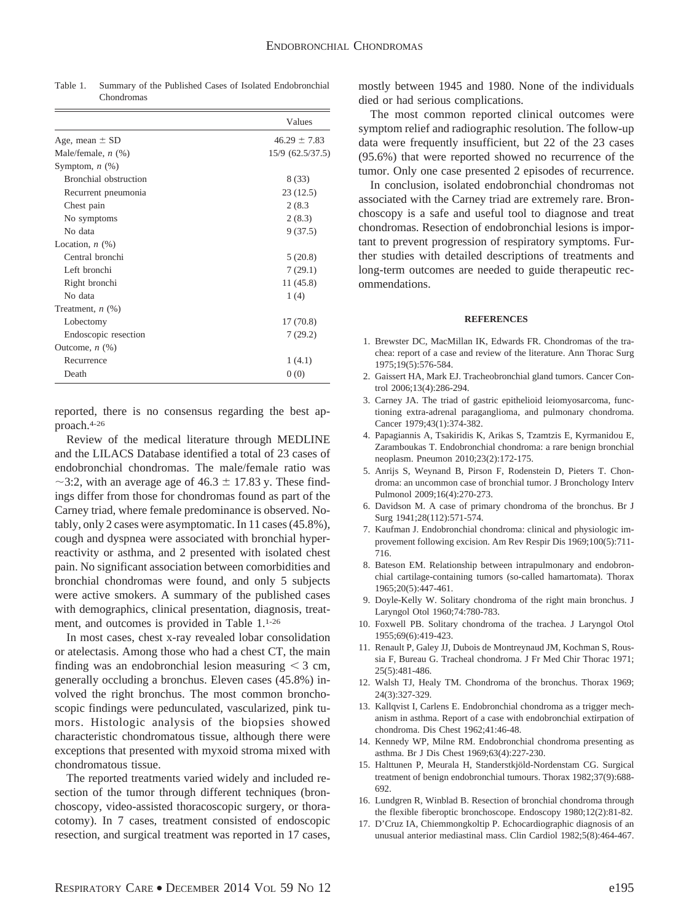|                       | Values             |
|-----------------------|--------------------|
| Age, mean $\pm$ SD    | $46.29 \pm 7.83$   |
| Male/female, $n$ (%)  | $15/9$ (62.5/37.5) |
| Symptom, $n$ $(\%)$   |                    |
| Bronchial obstruction | 8 (33)             |
| Recurrent pneumonia   | 23(12.5)           |
| Chest pain            | 2(8.3)             |
| No symptoms           | 2(8.3)             |
| No data               | 9(37.5)            |
| Location, $n$ $(\%)$  |                    |
| Central bronchi       | 5(20.8)            |
| Left bronchi          | 7(29.1)            |
| Right bronchi         | 11(45.8)           |
| No data               | 1(4)               |
| Treatment, $n$ $(\%)$ |                    |
| Lobectomy             | 17(70.8)           |
| Endoscopic resection  | 7(29.2)            |
| Outcome, $n$ $(\%)$   |                    |
| Recurrence            | 1(4.1)             |
| Death                 | 0(0)               |

Table 1. Summary of the Published Cases of Isolated Endobronchial Chondromas

reported, there is no consensus regarding the best approach.4-26

Review of the medical literature through MEDLINE and the LILACS Database identified a total of 23 cases of endobronchial chondromas. The male/female ratio was  $\sim$ 3:2, with an average age of 46.3  $\pm$  17.83 y. These findings differ from those for chondromas found as part of the Carney triad, where female predominance is observed. Notably, only 2 cases were asymptomatic. In 11 cases (45.8%), cough and dyspnea were associated with bronchial hyperreactivity or asthma, and 2 presented with isolated chest pain. No significant association between comorbidities and bronchial chondromas were found, and only 5 subjects were active smokers. A summary of the published cases with demographics, clinical presentation, diagnosis, treatment, and outcomes is provided in Table 1.1-26

In most cases, chest x-ray revealed lobar consolidation or atelectasis. Among those who had a chest CT, the main finding was an endobronchial lesion measuring  $\leq$  3 cm, generally occluding a bronchus. Eleven cases (45.8%) involved the right bronchus. The most common bronchoscopic findings were pedunculated, vascularized, pink tumors. Histologic analysis of the biopsies showed characteristic chondromatous tissue, although there were exceptions that presented with myxoid stroma mixed with chondromatous tissue.

The reported treatments varied widely and included resection of the tumor through different techniques (bronchoscopy, video-assisted thoracoscopic surgery, or thoracotomy). In 7 cases, treatment consisted of endoscopic resection, and surgical treatment was reported in 17 cases, mostly between 1945 and 1980. None of the individuals died or had serious complications.

The most common reported clinical outcomes were symptom relief and radiographic resolution. The follow-up data were frequently insufficient, but 22 of the 23 cases (95.6%) that were reported showed no recurrence of the tumor. Only one case presented 2 episodes of recurrence.

In conclusion, isolated endobronchial chondromas not associated with the Carney triad are extremely rare. Bronchoscopy is a safe and useful tool to diagnose and treat chondromas. Resection of endobronchial lesions is important to prevent progression of respiratory symptoms. Further studies with detailed descriptions of treatments and long-term outcomes are needed to guide therapeutic recommendations.

#### **REFERENCES**

- 1. Brewster DC, MacMillan IK, Edwards FR. Chondromas of the trachea: report of a case and review of the literature. Ann Thorac Surg 1975;19(5):576-584.
- 2. Gaissert HA, Mark EJ. Tracheobronchial gland tumors. Cancer Control 2006;13(4):286-294.
- 3. Carney JA. The triad of gastric epithelioid leiomyosarcoma, functioning extra-adrenal paraganglioma, and pulmonary chondroma. Cancer 1979;43(1):374-382.
- 4. Papagiannis A, Tsakiridis K, Arikas S, Tzamtzis E, Kyrmanidou E, Zaramboukas T. Endobronchial chondroma: a rare benign bronchial neoplasm. Pneumon 2010;23(2):172-175.
- 5. Anrijs S, Weynand B, Pirson F, Rodenstein D, Pieters T. Chondroma: an uncommon case of bronchial tumor. J Bronchology Interv Pulmonol 2009;16(4):270-273.
- 6. Davidson M. A case of primary chondroma of the bronchus. Br J Surg 1941;28(112):571-574.
- 7. Kaufman J. Endobronchial chondroma: clinical and physiologic improvement following excision. Am Rev Respir Dis 1969;100(5):711- 716.
- 8. Bateson EM. Relationship between intrapulmonary and endobronchial cartilage-containing tumors (so-called hamartomata). Thorax 1965;20(5):447-461.
- 9. Doyle-Kelly W. Solitary chondroma of the right main bronchus. J Laryngol Otol 1960;74:780-783.
- 10. Foxwell PB. Solitary chondroma of the trachea. J Laryngol Otol 1955;69(6):419-423.
- 11. Renault P, Galey JJ, Dubois de Montreynaud JM, Kochman S, Roussia F, Bureau G. Tracheal chondroma. J Fr Med Chir Thorac 1971; 25(5):481-486.
- 12. Walsh TJ, Healy TM. Chondroma of the bronchus. Thorax 1969; 24(3):327-329.
- 13. Kallqvist I, Carlens E. Endobronchial chondroma as a trigger mechanism in asthma. Report of a case with endobronchial extirpation of chondroma. Dis Chest 1962;41:46-48.
- 14. Kennedy WP, Milne RM. Endobronchial chondroma presenting as asthma. Br J Dis Chest 1969;63(4):227-230.
- 15. Halttunen P, Meurala H, Standerstkjöld-Nordenstam CG. Surgical treatment of benign endobronchial tumours. Thorax 1982;37(9):688- 692.
- 16. Lundgren R, Winblad B. Resection of bronchial chondroma through the flexible fiberoptic bronchoscope. Endoscopy 1980;12(2):81-82.
- 17. D'Cruz IA, Chiemmongkoltip P. Echocardiographic diagnosis of an unusual anterior mediastinal mass. Clin Cardiol 1982;5(8):464-467.